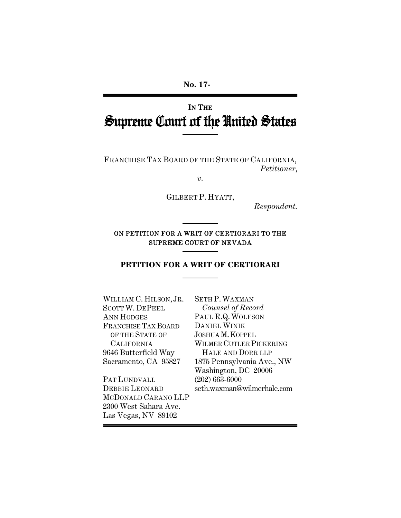**No. 17-** 

# **IN THE** Supreme Court of the United States

FRANCHISE TAX BOARD OF THE STATE OF CALIFORNIA, *Petitioner*,

*v.* 

GILBERT P. HYATT,

*Respondent.* 

## ON PETITION FOR A WRIT OF CERTIORARI TO THE SUPREME COURT OF NEVADA

## **PETITION FOR A WRIT OF CERTIORARI**

| WILLIAM C. HILSON, JR.<br><b>SCOTT W. DEPEEL</b> | <b>SETH P. WAXMAN</b><br>Counsel of Record         |
|--------------------------------------------------|----------------------------------------------------|
| ANN HODGES                                       | PAUL R.Q. WOLFSON                                  |
| <b>FRANCHISE TAX BOARD</b>                       | DANIEL WINIK                                       |
| OF THE STATE OF                                  | <b>JOSHUA M. KOPPEL</b>                            |
| <b>CALIFORNIA</b>                                | WILMER CUTLER PICKERING                            |
| 9646 Butterfield Way                             | HALE AND DORR LLP                                  |
| Sacramento, CA 95827                             | 1875 Pennsylvania Ave., NW<br>Washington, DC 20006 |
| Pat Lundvall                                     | $(202)$ 663-6000                                   |
| <b>DEBBIE LEONARD</b>                            | seth.waxman@wilmerhale.com                         |
| MCDONALD CARANO LLP                              |                                                    |
| 2300 West Sahara Ave.                            |                                                    |
| Las Vegas, NV 89102                              |                                                    |
|                                                  |                                                    |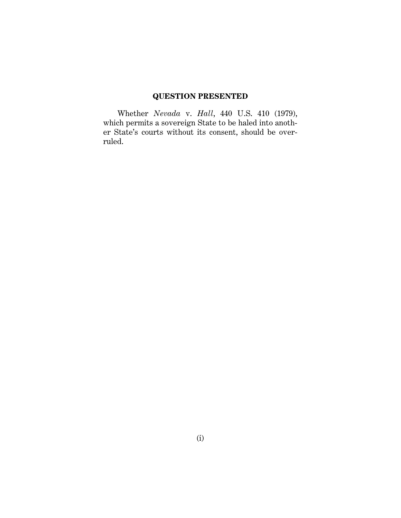# **QUESTION PRESENTED**

Whether *Nevada* v. *Hall*, 440 U.S. 410 (1979), which permits a sovereign State to be haled into another State's courts without its consent, should be overruled.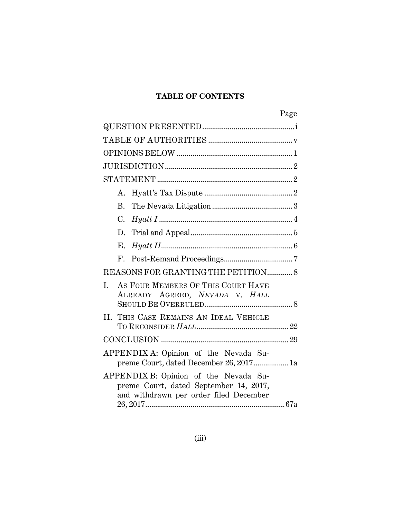## **TABLE OF CONTENTS**

| Page                                                                                                                      |
|---------------------------------------------------------------------------------------------------------------------------|
|                                                                                                                           |
|                                                                                                                           |
|                                                                                                                           |
|                                                                                                                           |
|                                                                                                                           |
| A.                                                                                                                        |
| Β.                                                                                                                        |
| $C_{\cdot}$                                                                                                               |
| $\label{eq:1} \text{Trial and Appendix 5}$<br>D.                                                                          |
| Е.                                                                                                                        |
| F.                                                                                                                        |
| REASONS FOR GRANTING THE PETITION  8                                                                                      |
| AS FOUR MEMBERS OF THIS COURT HAVE<br>I.<br>ALREADY AGREED, NEVADA V. HALL                                                |
| THIS CASE REMAINS AN IDEAL VEHICLE<br>II.                                                                                 |
|                                                                                                                           |
| APPENDIX A: Opinion of the Nevada Su-<br>preme Court, dated December 26, 2017 1a                                          |
| APPENDIX B: Opinion of the Nevada Su-<br>preme Court, dated September 14, 2017,<br>and withdrawn per order filed December |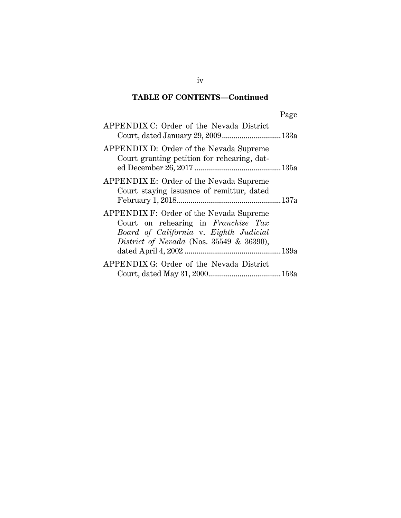# **TABLE OF CONTENTS—Continued**

| Page |
|------|
|------|

| APPENDIX C: Order of the Nevada District                                                                                                                                 |  |
|--------------------------------------------------------------------------------------------------------------------------------------------------------------------------|--|
| APPENDIX D: Order of the Nevada Supreme<br>Court granting petition for rehearing, dat-                                                                                   |  |
| APPENDIX E: Order of the Nevada Supreme<br>Court staying issuance of remittur, dated                                                                                     |  |
| APPENDIX F: Order of the Nevada Supreme<br>Court on rehearing in Franchise Tax<br>Board of California v. Eighth Judicial<br>District of Nevada (Nos. $35549 \& 36390$ ), |  |
| APPENDIX G: Order of the Nevada District                                                                                                                                 |  |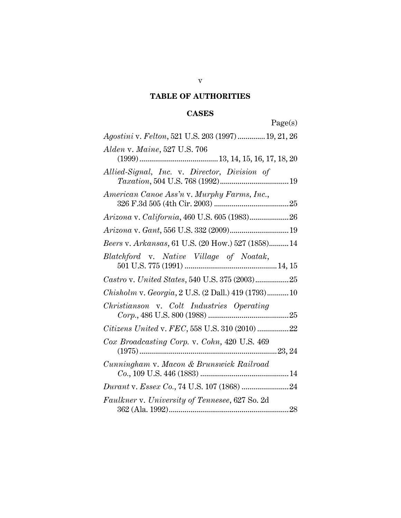# **TABLE OF AUTHORITIES**

# **CASES**

|                                                                                                    | Page(s) |
|----------------------------------------------------------------------------------------------------|---------|
| Agostini v. Felton, 521 U.S. 203 (1997)  19, 21, 26                                                |         |
| Alden v. Maine, 527 U.S. 706                                                                       |         |
| Allied-Signal, Inc. v. Director, Division of                                                       |         |
| American Canoe Ass'n v. Murphy Farms, Inc.,                                                        |         |
| Arizona v. California, 460 U.S. 605 (1983) 26                                                      |         |
| Arizona v. Gant, 556 U.S. 332 (2009) 19                                                            |         |
| Beers v. Arkansas, 61 U.S. (20 How.) 527 (1858) 14                                                 |         |
| Blatchford v. Native Village of Noatak,<br>$501 \, \mathrm{U.S.} \, 775 \, (1991) \, \mathrm{} \\$ |         |
|                                                                                                    |         |
| Chisholm v. Georgia, 2 U.S. (2 Dall.) 419 (1793) 10                                                |         |
| Christianson v. Colt Industries Operating                                                          |         |
| Citizens United v. FEC, 558 U.S. 310 (2010) 22                                                     |         |
| Cox Broadcasting Corp. v. Cohn, 420 U.S. 469                                                       |         |
| Cunningham v. Macon & Brunswick Railroad                                                           |         |
|                                                                                                    |         |
| Faulkner v. University of Tennesee, 627 So. 2d                                                     |         |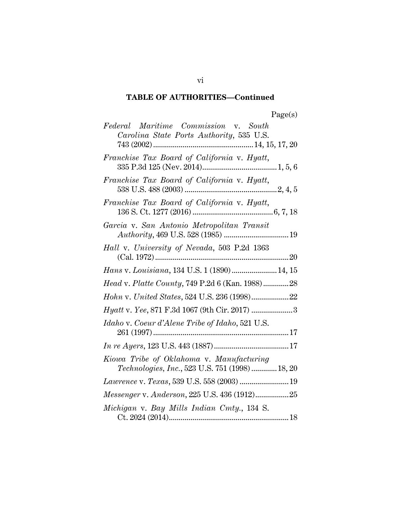| Federal Maritime Commission v. South<br>Carolina State Ports Authority, 535 U.S.            |
|---------------------------------------------------------------------------------------------|
| Franchise Tax Board of California v. Hyatt,                                                 |
| Franchise Tax Board of California v. Hyatt,                                                 |
| Franchise Tax Board of California v. Hyatt,                                                 |
| Garcia v. San Antonio Metropolitan Transit                                                  |
| Hall v. University of Nevada, 503 P.2d 1363                                                 |
| Hans v. Louisiana, 134 U.S. 1 (1890)  14, 15                                                |
| Head v. Platte County, 749 P.2d 6 (Kan. 1988)28                                             |
| Hohn v. United States, 524 U.S. 236 (1998)22                                                |
| Hyatt v. Yee, 871 F.3d 1067 (9th Cir. 2017) 3                                               |
| Idaho v. Coeur d'Alene Tribe of Idaho, 521 U.S.                                             |
|                                                                                             |
| Kiowa Tribe of Oklahoma v. Manufacturing<br>Technologies, Inc., 523 U.S. 751 (1998)  18, 20 |
| Lawrence v. Texas, 539 U.S. 558 (2003)  19                                                  |
| Messenger v. Anderson, 225 U.S. 436 (1912)25                                                |
| Michigan v. Bay Mills Indian Cmty., 134 S.                                                  |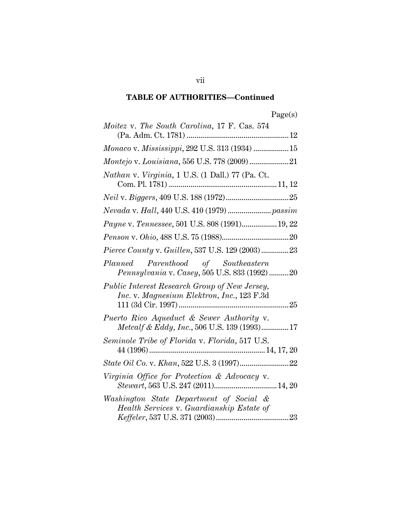| agets |
|-------|
|-------|

| Moitez v. The South Carolina, 17 F. Cas. 574                                                |
|---------------------------------------------------------------------------------------------|
| Monaco v. Mississippi, 292 U.S. 313 (1934)  15                                              |
| Montejo v. Louisiana, 556 U.S. 778 (2009)  21                                               |
| Nathan v. Virginia, 1 U.S. (1 Dall.) 77 (Pa. Ct.                                            |
|                                                                                             |
| Nevada v. Hall, 440 U.S. 410 (1979)  passim                                                 |
| Payne v. Tennessee, 501 U.S. 808 (1991) 19, 22                                              |
|                                                                                             |
| Pierce County v. Guillen, 537 U.S. 129 (2003)23                                             |
| Planned Parenthood of Southeastern<br>Pennsylvania v. Casey, 505 U.S. 833 (1992) 20         |
| Public Interest Research Group of New Jersey,<br>Inc. v. Magnesium Elektron, Inc., 123 F.3d |
| Puerto Rico Aqueduct & Sewer Authority v.<br>Metcalf & Eddy, Inc., 506 U.S. 139 (1993) 17   |
| Seminole Tribe of Florida v. Florida, 517 U.S.                                              |
|                                                                                             |
| Virginia Office for Protection & Advocacy v.                                                |
| Washington State Department of Social &<br>Health Services v. Guardianship Estate of        |

vii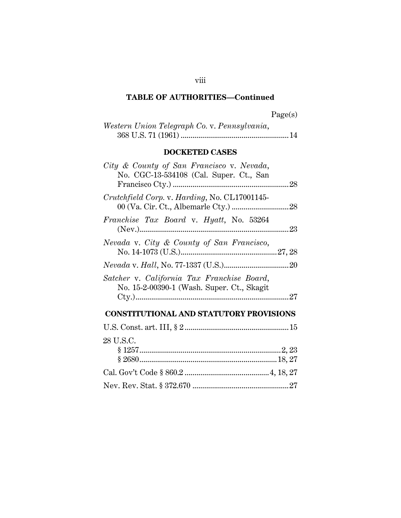| Page(s) |
|---------|
|---------|

| Western Union Telegraph Co. v. Pennsylvania, |
|----------------------------------------------|
|                                              |

## **DOCKETED CASES**

| City & County of San Francisco v. Nevada,<br>No. CGC-13-534108 (Cal. Super. Ct., San     |  |
|------------------------------------------------------------------------------------------|--|
| Crutchfield Corp. v. Harding, No. CL17001145-                                            |  |
| <i>Franchise Tax Board v. Hyatt</i> , No. 53264                                          |  |
| Nevada v. City & County of San Francisco,                                                |  |
|                                                                                          |  |
| Satcher v. California Tax Franchise Board,<br>No. 15-2-00390-1 (Wash. Super. Ct., Skagit |  |
|                                                                                          |  |

#### **CONSTITUTIONAL AND STATUTORY PROVISIONS**

| 28 U.S.C. |  |
|-----------|--|
|           |  |
|           |  |
|           |  |
|           |  |

viii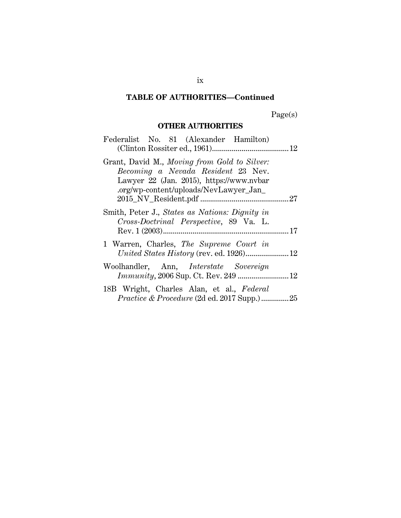Page(s)

## **OTHER AUTHORITIES**

| Federalist No. 81 (Alexander Hamilton)                                                                                                                                   |
|--------------------------------------------------------------------------------------------------------------------------------------------------------------------------|
| Grant, David M., Moving from Gold to Silver:<br>Becoming a Nevada Resident 23 Nev.<br>Lawyer 22 (Jan. 2015), https://www.nvbar<br>.org/wp-content/uploads/NevLawyer_Jan_ |
| Smith, Peter J., States as Nations: Dignity in<br>Cross-Doctrinal Perspective, 89 Va. L.                                                                                 |
| 1 Warren, Charles, The Supreme Court in                                                                                                                                  |
| Woolhandler, Ann, Interstate Sovereign                                                                                                                                   |
| 18B Wright, Charles Alan, et al., Federal                                                                                                                                |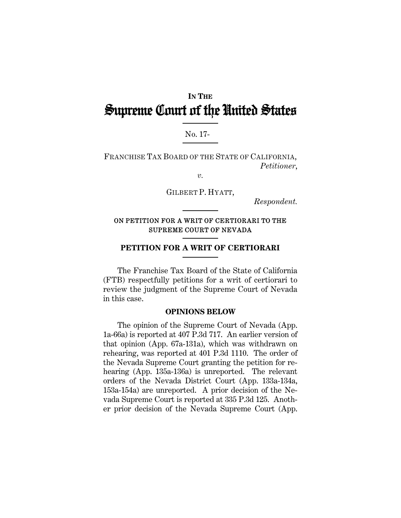# **IN THE** Supreme Court of the United States

## No. 17-

FRANCHISE TAX BOARD OF THE STATE OF CALIFORNIA, *Petitioner*,

*v.* 

GILBERT P. HYATT,

*Respondent.* 

### ON PETITION FOR A WRIT OF CERTIORARI TO THE SUPREME COURT OF NEVADA

## **PETITION FOR A WRIT OF CERTIORARI**

The Franchise Tax Board of the State of California (FTB) respectfully petitions for a writ of certiorari to review the judgment of the Supreme Court of Nevada in this case.

#### **OPINIONS BELOW**

The opinion of the Supreme Court of Nevada (App. 1a-66a) is reported at 407 P.3d 717. An earlier version of that opinion (App. 67a-131a), which was withdrawn on rehearing, was reported at 401 P.3d 1110. The order of the Nevada Supreme Court granting the petition for rehearing (App. 135a-136a) is unreported. The relevant orders of the Nevada District Court (App. 133a-134a, 153a-154a) are unreported. A prior decision of the Nevada Supreme Court is reported at 335 P.3d 125. Another prior decision of the Nevada Supreme Court (App.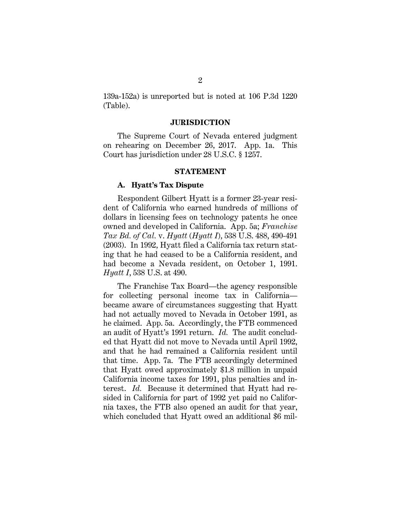139a-152a) is unreported but is noted at 106 P.3d 1220 (Table).

#### **JURISDICTION**

The Supreme Court of Nevada entered judgment on rehearing on December 26, 2017. App. 1a. This Court has jurisdiction under 28 U.S.C. § 1257.

#### **STATEMENT**

#### **A. Hyatt's Tax Dispute**

Respondent Gilbert Hyatt is a former 23-year resident of California who earned hundreds of millions of dollars in licensing fees on technology patents he once owned and developed in California. App. 5a; *Franchise Tax Bd. of Cal.* v. *Hyatt* (*Hyatt I*), 538 U.S. 488, 490-491 (2003). In 1992, Hyatt filed a California tax return stating that he had ceased to be a California resident, and had become a Nevada resident, on October 1, 1991. *Hyatt I*, 538 U.S. at 490.

The Franchise Tax Board—the agency responsible for collecting personal income tax in California became aware of circumstances suggesting that Hyatt had not actually moved to Nevada in October 1991, as he claimed. App. 5a. Accordingly, the FTB commenced an audit of Hyatt's 1991 return. *Id.* The audit concluded that Hyatt did not move to Nevada until April 1992, and that he had remained a California resident until that time. App. 7a. The FTB accordingly determined that Hyatt owed approximately \$1.8 million in unpaid California income taxes for 1991, plus penalties and interest. *Id.* Because it determined that Hyatt had resided in California for part of 1992 yet paid no California taxes, the FTB also opened an audit for that year, which concluded that Hyatt owed an additional \$6 mil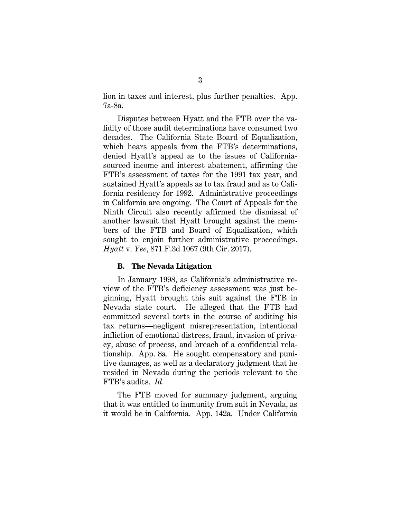lion in taxes and interest, plus further penalties. App. 7a-8a.

Disputes between Hyatt and the FTB over the validity of those audit determinations have consumed two decades. The California State Board of Equalization, which hears appeals from the FTB's determinations, denied Hyatt's appeal as to the issues of Californiasourced income and interest abatement, affirming the FTB's assessment of taxes for the 1991 tax year, and sustained Hyatt's appeals as to tax fraud and as to California residency for 1992. Administrative proceedings in California are ongoing. The Court of Appeals for the Ninth Circuit also recently affirmed the dismissal of another lawsuit that Hyatt brought against the members of the FTB and Board of Equalization, which sought to enjoin further administrative proceedings. *Hyatt* v. *Yee*, 871 F.3d 1067 (9th Cir. 2017).

#### **B. The Nevada Litigation**

In January 1998, as California's administrative review of the FTB's deficiency assessment was just beginning, Hyatt brought this suit against the FTB in Nevada state court. He alleged that the FTB had committed several torts in the course of auditing his tax returns—negligent misrepresentation, intentional infliction of emotional distress, fraud, invasion of privacy, abuse of process, and breach of a confidential relationship. App. 8a. He sought compensatory and punitive damages, as well as a declaratory judgment that he resided in Nevada during the periods relevant to the FTB's audits. *Id.*

The FTB moved for summary judgment, arguing that it was entitled to immunity from suit in Nevada, as it would be in California. App. 142a. Under California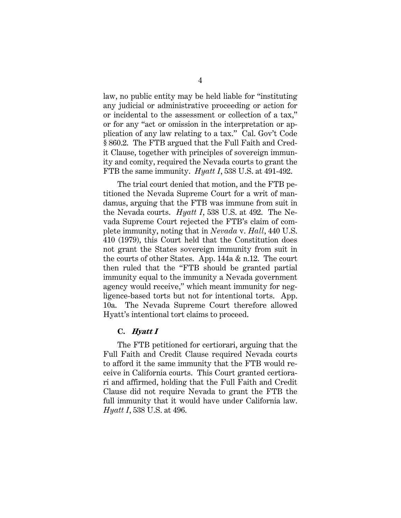law, no public entity may be held liable for "instituting any judicial or administrative proceeding or action for or incidental to the assessment or collection of a tax," or for any "act or omission in the interpretation or application of any law relating to a tax." Cal. Gov't Code § 860.2. The FTB argued that the Full Faith and Credit Clause, together with principles of sovereign immunity and comity, required the Nevada courts to grant the FTB the same immunity. *Hyatt I*, 538 U.S. at 491-492.

The trial court denied that motion, and the FTB petitioned the Nevada Supreme Court for a writ of mandamus, arguing that the FTB was immune from suit in the Nevada courts. *Hyatt I*, 538 U.S. at 492. The Nevada Supreme Court rejected the FTB's claim of complete immunity, noting that in *Nevada* v. *Hall*, 440 U.S. 410 (1979), this Court held that the Constitution does not grant the States sovereign immunity from suit in the courts of other States. App. 144a & n.12. The court then ruled that the "FTB should be granted partial immunity equal to the immunity a Nevada government agency would receive," which meant immunity for negligence-based torts but not for intentional torts. App. 10a. The Nevada Supreme Court therefore allowed Hyatt's intentional tort claims to proceed.

### **C. Hyatt I**

The FTB petitioned for certiorari, arguing that the Full Faith and Credit Clause required Nevada courts to afford it the same immunity that the FTB would receive in California courts. This Court granted certiorari and affirmed, holding that the Full Faith and Credit Clause did not require Nevada to grant the FTB the full immunity that it would have under California law. *Hyatt I*, 538 U.S. at 496.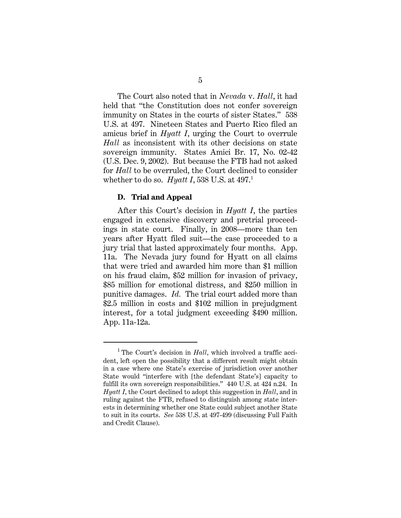The Court also noted that in *Nevada* v. *Hall*, it had held that "the Constitution does not confer sovereign immunity on States in the courts of sister States." 538 U.S. at 497. Nineteen States and Puerto Rico filed an amicus brief in *Hyatt I*, urging the Court to overrule *Hall* as inconsistent with its other decisions on state sovereign immunity. States Amici Br. 17, No. 02-42 (U.S. Dec. 9, 2002). But because the FTB had not asked for *Hall* to be overruled, the Court declined to consider whether to do so. *Hyatt I*, 538 U.S. at 497.<sup>1</sup>

#### **D. Trial and Appeal**

I

After this Court's decision in *Hyatt I*, the parties engaged in extensive discovery and pretrial proceedings in state court. Finally, in 2008—more than ten years after Hyatt filed suit—the case proceeded to a jury trial that lasted approximately four months. App. 11a. The Nevada jury found for Hyatt on all claims that were tried and awarded him more than \$1 million on his fraud claim, \$52 million for invasion of privacy, \$85 million for emotional distress, and \$250 million in punitive damages. *Id.* The trial court added more than \$2.5 million in costs and \$102 million in prejudgment interest, for a total judgment exceeding \$490 million. App. 11a-12a.

<sup>&</sup>lt;sup>1</sup> The Court's decision in *Hall*, which involved a traffic accident, left open the possibility that a different result might obtain in a case where one State's exercise of jurisdiction over another State would "interfere with [the defendant State's] capacity to fulfill its own sovereign responsibilities." 440 U.S. at 424 n.24. In *Hyatt I*, the Court declined to adopt this suggestion in *Hall*, and in ruling against the FTB, refused to distinguish among state interests in determining whether one State could subject another State to suit in its courts. *See* 538 U.S. at 497-499 (discussing Full Faith and Credit Clause).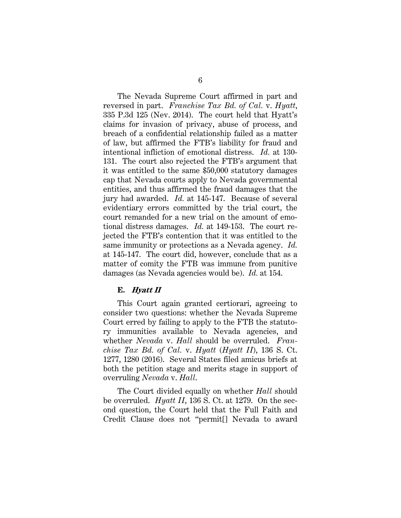The Nevada Supreme Court affirmed in part and reversed in part. *Franchise Tax Bd. of Cal.* v. *Hyatt*, 335 P.3d 125 (Nev. 2014). The court held that Hyatt's claims for invasion of privacy, abuse of process, and breach of a confidential relationship failed as a matter of law, but affirmed the FTB's liability for fraud and intentional infliction of emotional distress. *Id.* at 130- 131. The court also rejected the FTB's argument that it was entitled to the same \$50,000 statutory damages cap that Nevada courts apply to Nevada governmental entities, and thus affirmed the fraud damages that the jury had awarded. *Id.* at 145-147. Because of several evidentiary errors committed by the trial court, the court remanded for a new trial on the amount of emotional distress damages. *Id.* at 149-153. The court rejected the FTB's contention that it was entitled to the same immunity or protections as a Nevada agency. *Id.*  at 145-147. The court did, however, conclude that as a matter of comity the FTB was immune from punitive damages (as Nevada agencies would be). *Id.* at 154.

### **E. Hyatt II**

This Court again granted certiorari, agreeing to consider two questions: whether the Nevada Supreme Court erred by failing to apply to the FTB the statutory immunities available to Nevada agencies, and whether *Nevada* v. *Hall* should be overruled. *Franchise Tax Bd. of Cal.* v. *Hyatt* (*Hyatt II*), 136 S. Ct. 1277, 1280 (2016). Several States filed amicus briefs at both the petition stage and merits stage in support of overruling *Nevada* v. *Hall*.

The Court divided equally on whether *Hall* should be overruled. *Hyatt II*, 136 S. Ct. at 1279. On the second question, the Court held that the Full Faith and Credit Clause does not "permit[] Nevada to award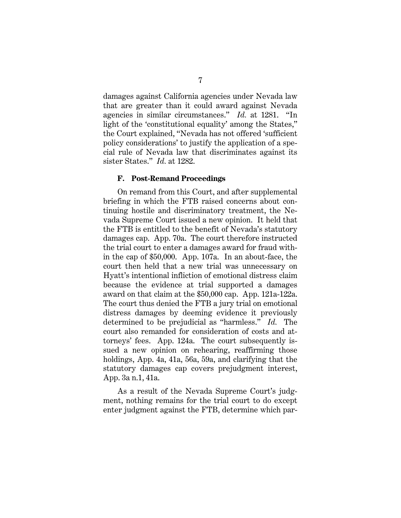damages against California agencies under Nevada law that are greater than it could award against Nevada agencies in similar circumstances." *Id.* at 1281. "In light of the 'constitutional equality' among the States," the Court explained, "Nevada has not offered 'sufficient policy considerations' to justify the application of a special rule of Nevada law that discriminates against its sister States." *Id.* at 1282.

#### **F. Post-Remand Proceedings**

On remand from this Court, and after supplemental briefing in which the FTB raised concerns about continuing hostile and discriminatory treatment, the Nevada Supreme Court issued a new opinion. It held that the FTB is entitled to the benefit of Nevada's statutory damages cap. App. 70a. The court therefore instructed the trial court to enter a damages award for fraud within the cap of \$50,000. App. 107a. In an about-face, the court then held that a new trial was unnecessary on Hyatt's intentional infliction of emotional distress claim because the evidence at trial supported a damages award on that claim at the \$50,000 cap. App. 121a-122a. The court thus denied the FTB a jury trial on emotional distress damages by deeming evidence it previously determined to be prejudicial as "harmless." *Id.* The court also remanded for consideration of costs and attorneys' fees. App. 124a. The court subsequently issued a new opinion on rehearing, reaffirming those holdings, App. 4a, 41a, 56a, 59a, and clarifying that the statutory damages cap covers prejudgment interest, App. 3a n.1, 41a.

As a result of the Nevada Supreme Court's judgment, nothing remains for the trial court to do except enter judgment against the FTB, determine which par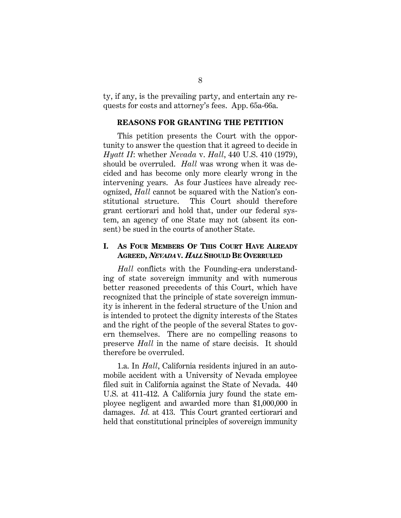ty, if any, is the prevailing party, and entertain any requests for costs and attorney's fees. App. 65a-66a.

#### **REASONS FOR GRANTING THE PETITION**

This petition presents the Court with the opportunity to answer the question that it agreed to decide in *Hyatt II*: whether *Nevada* v. *Hall*, 440 U.S. 410 (1979), should be overruled. *Hall* was wrong when it was decided and has become only more clearly wrong in the intervening years. As four Justices have already recognized, *Hall* cannot be squared with the Nation's constitutional structure. This Court should therefore grant certiorari and hold that, under our federal system, an agency of one State may not (absent its consent) be sued in the courts of another State.

#### **I. AS FOUR MEMBERS OF THIS COURT HAVE ALREADY AGREED, <sup>N</sup>EVADA V. <sup>H</sup>ALL SHOULD BE OVERRULED**

*Hall* conflicts with the Founding-era understanding of state sovereign immunity and with numerous better reasoned precedents of this Court, which have recognized that the principle of state sovereign immunity is inherent in the federal structure of the Union and is intended to protect the dignity interests of the States and the right of the people of the several States to govern themselves. There are no compelling reasons to preserve *Hall* in the name of stare decisis. It should therefore be overruled.

1.a. In *Hall*, California residents injured in an automobile accident with a University of Nevada employee filed suit in California against the State of Nevada. 440 U.S. at 411-412. A California jury found the state employee negligent and awarded more than \$1,000,000 in damages. *Id.* at 413. This Court granted certiorari and held that constitutional principles of sovereign immunity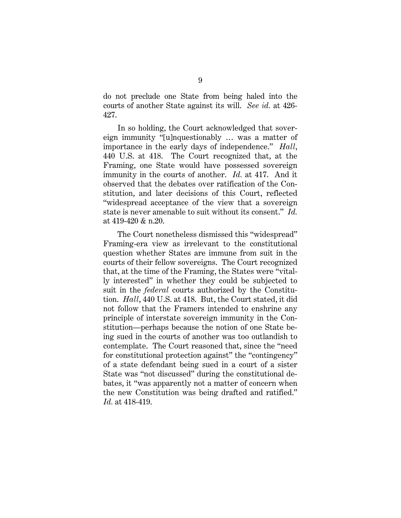do not preclude one State from being haled into the courts of another State against its will. *See id.* at 426- 427.

In so holding, the Court acknowledged that sovereign immunity "[u]nquestionably … was a matter of importance in the early days of independence." *Hall*, 440 U.S. at 418. The Court recognized that, at the Framing, one State would have possessed sovereign immunity in the courts of another. *Id.* at 417. And it observed that the debates over ratification of the Constitution, and later decisions of this Court, reflected "widespread acceptance of the view that a sovereign state is never amenable to suit without its consent." *Id.*  at 419-420 & n.20.

The Court nonetheless dismissed this "widespread" Framing-era view as irrelevant to the constitutional question whether States are immune from suit in the courts of their fellow sovereigns. The Court recognized that, at the time of the Framing, the States were "vitally interested" in whether they could be subjected to suit in the *federal* courts authorized by the Constitution. *Hall*, 440 U.S. at 418. But, the Court stated, it did not follow that the Framers intended to enshrine any principle of interstate sovereign immunity in the Constitution—perhaps because the notion of one State being sued in the courts of another was too outlandish to contemplate. The Court reasoned that, since the "need for constitutional protection against" the "contingency" of a state defendant being sued in a court of a sister State was "not discussed" during the constitutional debates, it "was apparently not a matter of concern when the new Constitution was being drafted and ratified." *Id.* at 418-419.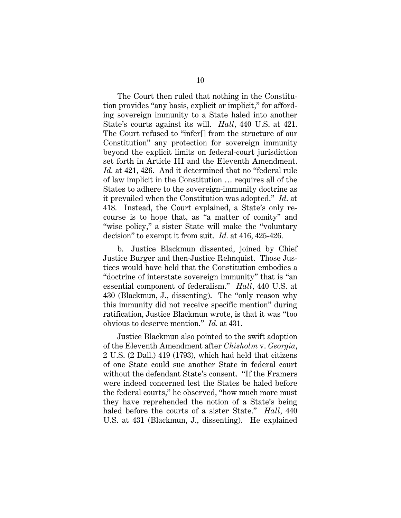The Court then ruled that nothing in the Constitution provides "any basis, explicit or implicit," for affording sovereign immunity to a State haled into another State's courts against its will. *Hall*, 440 U.S. at 421. The Court refused to "infer[] from the structure of our Constitution" any protection for sovereign immunity beyond the explicit limits on federal-court jurisdiction set forth in Article III and the Eleventh Amendment. *Id.* at 421, 426. And it determined that no "federal rule of law implicit in the Constitution … requires all of the States to adhere to the sovereign-immunity doctrine as it prevailed when the Constitution was adopted." *Id.* at 418. Instead, the Court explained, a State's only recourse is to hope that, as "a matter of comity" and "wise policy," a sister State will make the "voluntary decision" to exempt it from suit. *Id.* at 416, 425-426.

b. Justice Blackmun dissented, joined by Chief Justice Burger and then-Justice Rehnquist. Those Justices would have held that the Constitution embodies a "doctrine of interstate sovereign immunity" that is "an essential component of federalism." *Hall*, 440 U.S. at 430 (Blackmun, J., dissenting). The "only reason why this immunity did not receive specific mention" during ratification, Justice Blackmun wrote, is that it was "too obvious to deserve mention." *Id.* at 431.

Justice Blackmun also pointed to the swift adoption of the Eleventh Amendment after *Chisholm* v. *Georgia*, 2 U.S. (2 Dall.) 419 (1793), which had held that citizens of one State could sue another State in federal court without the defendant State's consent. "If the Framers were indeed concerned lest the States be haled before the federal courts," he observed, "how much more must they have reprehended the notion of a State's being haled before the courts of a sister State." *Hall*, 440 U.S. at 431 (Blackmun, J., dissenting). He explained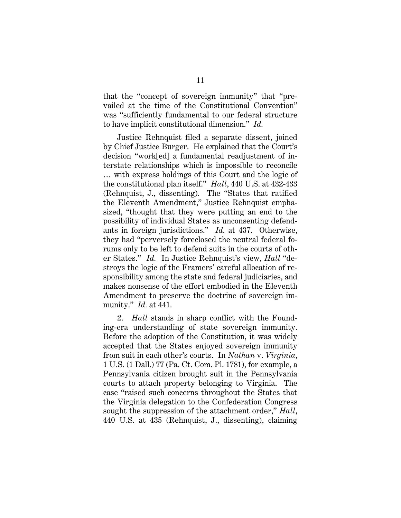that the "concept of sovereign immunity" that "prevailed at the time of the Constitutional Convention" was "sufficiently fundamental to our federal structure to have implicit constitutional dimension." *Id.* 

Justice Rehnquist filed a separate dissent, joined by Chief Justice Burger. He explained that the Court's decision "work[ed] a fundamental readjustment of interstate relationships which is impossible to reconcile … with express holdings of this Court and the logic of the constitutional plan itself." *Hall*, 440 U.S. at 432-433 (Rehnquist, J., dissenting). The "States that ratified the Eleventh Amendment," Justice Rehnquist emphasized, "thought that they were putting an end to the possibility of individual States as unconsenting defendants in foreign jurisdictions." *Id.* at 437. Otherwise, they had "perversely foreclosed the neutral federal forums only to be left to defend suits in the courts of other States." *Id.* In Justice Rehnquist's view, *Hall* "destroys the logic of the Framers' careful allocation of responsibility among the state and federal judiciaries, and makes nonsense of the effort embodied in the Eleventh Amendment to preserve the doctrine of sovereign immunity." *Id.* at 441.

2. *Hall* stands in sharp conflict with the Founding-era understanding of state sovereign immunity. Before the adoption of the Constitution, it was widely accepted that the States enjoyed sovereign immunity from suit in each other's courts. In *Nathan* v. *Virginia*, 1 U.S. (1 Dall.) 77 (Pa. Ct. Com. Pl. 1781), for example, a Pennsylvania citizen brought suit in the Pennsylvania courts to attach property belonging to Virginia. The case "raised such concerns throughout the States that the Virginia delegation to the Confederation Congress sought the suppression of the attachment order," *Hall*, 440 U.S. at 435 (Rehnquist, J., dissenting), claiming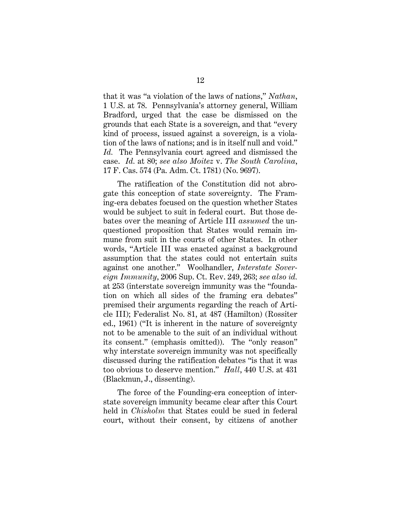that it was "a violation of the laws of nations," *Nathan*, 1 U.S. at 78. Pennsylvania's attorney general, William Bradford, urged that the case be dismissed on the grounds that each State is a sovereign, and that "every kind of process, issued against a sovereign, is a violation of the laws of nations; and is in itself null and void." *Id.* The Pennsylvania court agreed and dismissed the case. *Id.* at 80; *see also Moitez* v. *The South Carolina*, 17 F. Cas. 574 (Pa. Adm. Ct. 1781) (No. 9697).

The ratification of the Constitution did not abrogate this conception of state sovereignty. The Framing-era debates focused on the question whether States would be subject to suit in federal court. But those debates over the meaning of Article III *assumed* the unquestioned proposition that States would remain immune from suit in the courts of other States. In other words, "Article III was enacted against a background assumption that the states could not entertain suits against one another." Woolhandler, *Interstate Sovereign Immunity*, 2006 Sup. Ct. Rev. 249, 263; *see also id.*  at 253 (interstate sovereign immunity was the "foundation on which all sides of the framing era debates" premised their arguments regarding the reach of Article III); Federalist No. 81, at 487 (Hamilton) (Rossiter ed., 1961) ("It is inherent in the nature of sovereignty not to be amenable to the suit of an individual without its consent." (emphasis omitted)). The "only reason" why interstate sovereign immunity was not specifically discussed during the ratification debates "is that it was too obvious to deserve mention." *Hall*, 440 U.S. at 431 (Blackmun, J., dissenting).

The force of the Founding-era conception of interstate sovereign immunity became clear after this Court held in *Chisholm* that States could be sued in federal court, without their consent, by citizens of another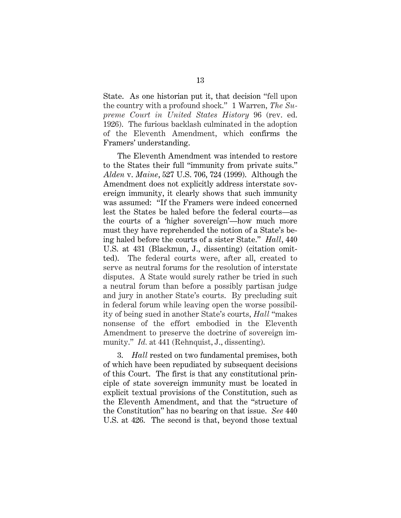State. As one historian put it, that decision "fell upon the country with a profound shock." 1 Warren, *The Supreme Court in United States History* 96 (rev. ed. 1926). The furious backlash culminated in the adoption of the Eleventh Amendment, which confirms the Framers' understanding.

The Eleventh Amendment was intended to restore to the States their full "immunity from private suits." *Alden* v. *Maine*, 527 U.S. 706, 724 (1999). Although the Amendment does not explicitly address interstate sovereign immunity, it clearly shows that such immunity was assumed: "If the Framers were indeed concerned lest the States be haled before the federal courts—as the courts of a 'higher sovereign'—how much more must they have reprehended the notion of a State's being haled before the courts of a sister State." *Hall*, 440 U.S. at 431 (Blackmun, J., dissenting) (citation omitted). The federal courts were, after all, created to serve as neutral forums for the resolution of interstate disputes. A State would surely rather be tried in such a neutral forum than before a possibly partisan judge and jury in another State's courts. By precluding suit in federal forum while leaving open the worse possibility of being sued in another State's courts, *Hall* "makes nonsense of the effort embodied in the Eleventh Amendment to preserve the doctrine of sovereign immunity." *Id.* at 441 (Rehnquist, J., dissenting).

3. *Hall* rested on two fundamental premises, both of which have been repudiated by subsequent decisions of this Court. The first is that any constitutional principle of state sovereign immunity must be located in explicit textual provisions of the Constitution, such as the Eleventh Amendment, and that the "structure of the Constitution" has no bearing on that issue. *See* 440 U.S. at 426. The second is that, beyond those textual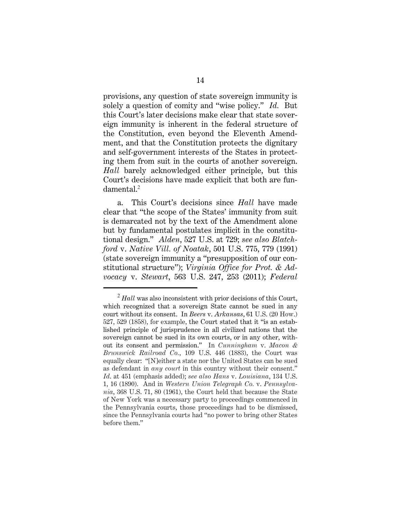provisions, any question of state sovereign immunity is solely a question of comity and "wise policy." *Id.* But this Court's later decisions make clear that state sovereign immunity is inherent in the federal structure of the Constitution, even beyond the Eleventh Amendment, and that the Constitution protects the dignitary and self-government interests of the States in protecting them from suit in the courts of another sovereign. *Hall* barely acknowledged either principle, but this Court's decisions have made explicit that both are fundamental.<sup>2</sup>

a. This Court's decisions since *Hall* have made clear that "the scope of the States' immunity from suit is demarcated not by the text of the Amendment alone but by fundamental postulates implicit in the constitutional design." *Alden*, 527 U.S. at 729; *see also Blatchford* v. *Native Vill. of Noatak*, 501 U.S. 775, 779 (1991) (state sovereign immunity a "presupposition of our constitutional structure"); *Virginia Office for Prot. & Advocacy* v. *Stewart*, 563 U.S. 247, 253 (2011); *Federal* 

<sup>2</sup> *Hall* was also inconsistent with prior decisions of this Court, which recognized that a sovereign State cannot be sued in any court without its consent. In *Beers* v. *Arkansas*, 61 U.S. (20 How.) 527, 529 (1858), for example, the Court stated that it "is an established principle of jurisprudence in all civilized nations that the sovereign cannot be sued in its own courts, or in any other, without its consent and permission." In *Cunningham* v. *Macon & Brunswick Railroad Co.*, 109 U.S. 446 (1883), the Court was equally clear: "[N]either a state nor the United States can be sued as defendant in *any court* in this country without their consent." *Id*. at 451 (emphasis added); *see also Hans* v. *Louisiana*, 134 U.S. 1, 16 (1890). And in *Western Union Telegraph Co.* v. *Pennsylvania*, 368 U.S. 71, 80 (1961), the Court held that because the State of New York was a necessary party to proceedings commenced in the Pennsylvania courts, those proceedings had to be dismissed, since the Pennsylvania courts had "no power to bring other States before them."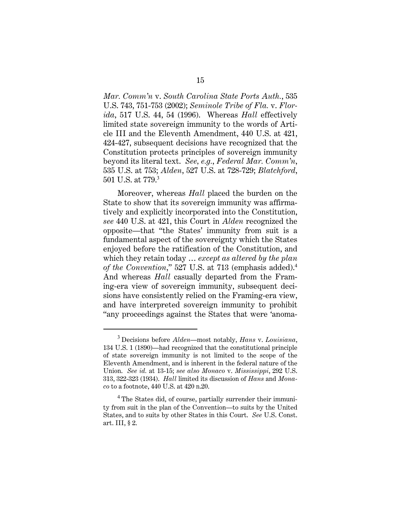*Mar. Comm'n* v. *South Carolina State Ports Auth.*, 535 U.S. 743, 751-753 (2002); *Seminole Tribe of Fla.* v. *Florida*, 517 U.S. 44, 54 (1996). Whereas *Hall* effectively limited state sovereign immunity to the words of Article III and the Eleventh Amendment, 440 U.S. at 421, 424-427, subsequent decisions have recognized that the Constitution protects principles of sovereign immunity beyond its literal text. *See, e.g.*, *Federal Mar. Comm'n*, 535 U.S. at 753; *Alden*, 527 U.S. at 728-729; *Blatchford*, 501 U.S. at 779.<sup>3</sup>

Moreover, whereas *Hall* placed the burden on the State to show that its sovereign immunity was affirmatively and explicitly incorporated into the Constitution, *see* 440 U.S. at 421, this Court in *Alden* recognized the opposite—that "the States' immunity from suit is a fundamental aspect of the sovereignty which the States enjoyed before the ratification of the Constitution, and which they retain today … *except as altered by the plan of the Convention*," 527 U.S. at 713 (emphasis added).<sup>4</sup> And whereas *Hall* casually departed from the Framing-era view of sovereign immunity, subsequent decisions have consistently relied on the Framing-era view, and have interpreted sovereign immunity to prohibit "any proceedings against the States that were 'anoma-

<sup>3</sup> Decisions before *Alden*—most notably, *Hans* v. *Louisiana*, 134 U.S. 1 (1890)—had recognized that the constitutional principle of state sovereign immunity is not limited to the scope of the Eleventh Amendment, and is inherent in the federal nature of the Union. *See id.* at 13-15; *see also Monaco* v. *Mississippi*, 292 U.S. 313, 322-323 (1934). *Hall* limited its discussion of *Hans* and *Monaco* to a footnote, 440 U.S. at 420 n.20.

<sup>&</sup>lt;sup>4</sup> The States did, of course, partially surrender their immunity from suit in the plan of the Convention—to suits by the United States, and to suits by other States in this Court. *See* U.S. Const. art. III, § 2.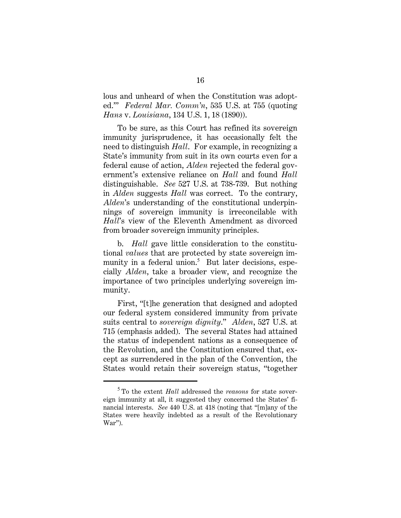lous and unheard of when the Constitution was adopted.'" *Federal Mar. Comm'n*, 535 U.S. at 755 (quoting *Hans* v. *Louisiana*, 134 U.S. 1, 18 (1890)).

To be sure, as this Court has refined its sovereign immunity jurisprudence, it has occasionally felt the need to distinguish *Hall*. For example, in recognizing a State's immunity from suit in its own courts even for a federal cause of action, *Alden* rejected the federal government's extensive reliance on *Hall* and found *Hall* distinguishable. *See* 527 U.S. at 738-739. But nothing in *Alden* suggests *Hall* was correct. To the contrary, *Alden*'s understanding of the constitutional underpinnings of sovereign immunity is irreconcilable with *Hall*'s view of the Eleventh Amendment as divorced from broader sovereign immunity principles.

b. *Hall* gave little consideration to the constitutional *values* that are protected by state sovereign immunity in a federal union.<sup>5</sup> But later decisions, especially *Alden*, take a broader view, and recognize the importance of two principles underlying sovereign immunity.

First, "[t]he generation that designed and adopted our federal system considered immunity from private suits central to *sovereign dignity*." *Alden*, 527 U.S. at 715 (emphasis added). The several States had attained the status of independent nations as a consequence of the Revolution, and the Constitution ensured that, except as surrendered in the plan of the Convention, the States would retain their sovereign status, "together

<sup>5</sup> To the extent *Hall* addressed the *reasons* for state sovereign immunity at all, it suggested they concerned the States' financial interests. *See* 440 U.S. at 418 (noting that "[m]any of the States were heavily indebted as a result of the Revolutionary War").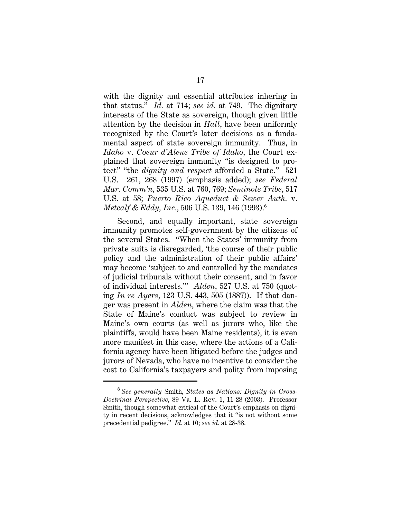with the dignity and essential attributes inhering in that status." *Id.* at 714; *see id.* at 749. The dignitary interests of the State as sovereign, though given little attention by the decision in *Hall*, have been uniformly recognized by the Court's later decisions as a fundamental aspect of state sovereign immunity. Thus, in *Idaho* v. *Coeur d'Alene Tribe of Idaho*, the Court explained that sovereign immunity "is designed to protect" "the *dignity and respect* afforded a State." 521 U.S. 261, 268 (1997) (emphasis added); *see Federal Mar. Comm'n*, 535 U.S. at 760, 769; *Seminole Tribe*, 517 U.S. at 58; *Puerto Rico Aqueduct & Sewer Auth.* v. *Metcalf & Eddy, Inc.*, 506 U.S. 139, 146 (1993).<sup>6</sup>

Second, and equally important, state sovereign immunity promotes self-government by the citizens of the several States. "When the States' immunity from private suits is disregarded, 'the course of their public policy and the administration of their public affairs' may become 'subject to and controlled by the mandates of judicial tribunals without their consent, and in favor of individual interests.'" *Alden*, 527 U.S. at 750 (quoting *In re Ayers*, 123 U.S. 443, 505 (1887)). If that danger was present in *Alden*, where the claim was that the State of Maine's conduct was subject to review in Maine's own courts (as well as jurors who, like the plaintiffs, would have been Maine residents), it is even more manifest in this case, where the actions of a California agency have been litigated before the judges and jurors of Nevada, who have no incentive to consider the cost to California's taxpayers and polity from imposing

<sup>6</sup> *See generally* Smith*, States as Nations: Dignity in Cross-Doctrinal Perspective*, 89 Va. L. Rev. 1, 11-28 (2003). Professor Smith, though somewhat critical of the Court's emphasis on dignity in recent decisions, acknowledges that it "is not without some precedential pedigree." *Id.* at 10; *see id.* at 28-38.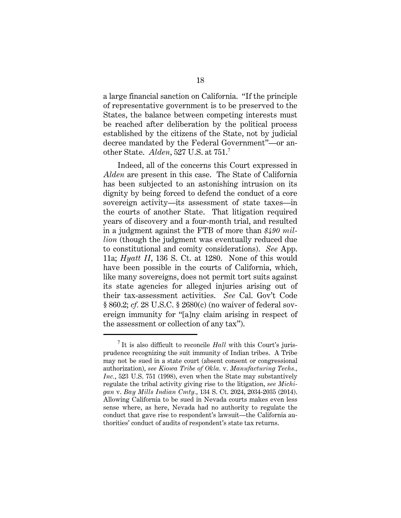a large financial sanction on California. "If the principle of representative government is to be preserved to the States, the balance between competing interests must be reached after deliberation by the political process established by the citizens of the State, not by judicial decree mandated by the Federal Government"—or another State. *Alden*, 527 U.S. at 751.<sup>7</sup>

Indeed, all of the concerns this Court expressed in *Alden* are present in this case. The State of California has been subjected to an astonishing intrusion on its dignity by being forced to defend the conduct of a core sovereign activity—its assessment of state taxes—in the courts of another State. That litigation required years of discovery and a four-month trial, and resulted in a judgment against the FTB of more than *\$490 million* (though the judgment was eventually reduced due to constitutional and comity considerations). *See* App. 11a; *Hyatt II*, 136 S. Ct. at 1280. None of this would have been possible in the courts of California, which, like many sovereigns, does not permit tort suits against its state agencies for alleged injuries arising out of their tax-assessment activities. *See* Cal. Gov't Code § 860.2; *cf.* 28 U.S.C. § 2680(c) (no waiver of federal sovereign immunity for "[a]ny claim arising in respect of the assessment or collection of any tax").

<sup>7</sup> It is also difficult to reconcile *Hall* with this Court's jurisprudence recognizing the suit immunity of Indian tribes. A Tribe may not be sued in a state court (absent consent or congressional authorization), *see Kiowa Tribe of Okla.* v. *Manufacturing Techs., Inc.*, 523 U.S. 751 (1998), even when the State may substantively regulate the tribal activity giving rise to the litigation, *see Michigan* v. *Bay Mills Indian Cmty.*, 134 S. Ct. 2024, 2034-2035 (2014). Allowing California to be sued in Nevada courts makes even less sense where, as here, Nevada had no authority to regulate the conduct that gave rise to respondent's lawsuit—the California authorities' conduct of audits of respondent's state tax returns.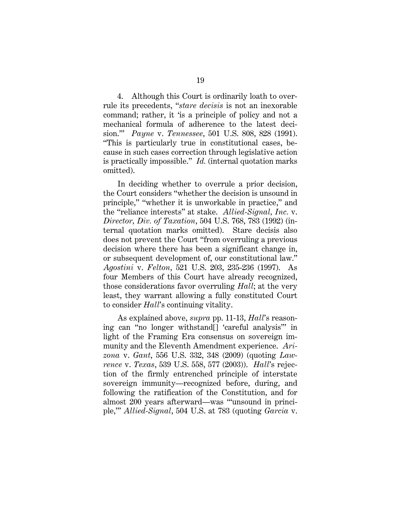4. Although this Court is ordinarily loath to overrule its precedents, "*stare decisis* is not an inexorable command; rather, it 'is a principle of policy and not a mechanical formula of adherence to the latest decision.'" *Payne* v. *Tennessee*, 501 U.S. 808, 828 (1991). "This is particularly true in constitutional cases, because in such cases correction through legislative action is practically impossible." *Id.* (internal quotation marks omitted).

In deciding whether to overrule a prior decision, the Court considers "whether the decision is unsound in principle," "whether it is unworkable in practice," and the "reliance interests" at stake. *Allied-Signal, Inc.* v. *Director, Div. of Taxation*, 504 U.S. 768, 783 (1992) (internal quotation marks omitted). Stare decisis also does not prevent the Court "from overruling a previous decision where there has been a significant change in, or subsequent development of, our constitutional law." *Agostini* v. *Felton*, 521 U.S. 203, 235-236 (1997). As four Members of this Court have already recognized, those considerations favor overruling *Hall*; at the very least, they warrant allowing a fully constituted Court to consider *Hall*'s continuing vitality.

As explained above, *supra* pp. 11-13, *Hall*'s reasoning can "no longer withstand[] 'careful analysis'" in light of the Framing Era consensus on sovereign immunity and the Eleventh Amendment experience. *Arizona* v. *Gant*, 556 U.S. 332, 348 (2009) (quoting *Lawrence* v. *Texas*, 539 U.S. 558, 577 (2003)). *Hall*'s rejection of the firmly entrenched principle of interstate sovereign immunity—recognized before, during, and following the ratification of the Constitution, and for almost 200 years afterward—was "'unsound in principle,'" *Allied-Signal*, 504 U.S. at 783 (quoting *Garcia* v.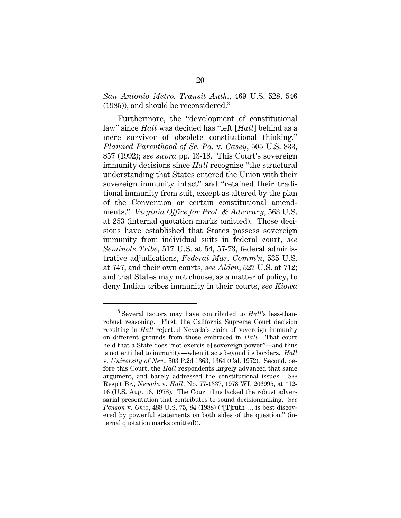*San Antonio Metro. Transit Auth.*, 469 U.S. 528, 546  $(1985)$ , and should be reconsidered.<sup>8</sup>

Furthermore, the "development of constitutional law" since *Hall* was decided has "left [*Hall*] behind as a mere survivor of obsolete constitutional thinking." *Planned Parenthood of Se. Pa.* v. *Casey*, 505 U.S. 833, 857 (1992); *see supra* pp. 13-18. This Court's sovereign immunity decisions since *Hall* recognize "the structural understanding that States entered the Union with their sovereign immunity intact" and "retained their traditional immunity from suit, except as altered by the plan of the Convention or certain constitutional amendments." *Virginia Office for Prot. & Advocacy*, 563 U.S. at 253 (internal quotation marks omitted). Those decisions have established that States possess sovereign immunity from individual suits in federal court, *see Seminole Tribe*, 517 U.S. at 54, 57-73, federal administrative adjudications, *Federal Mar. Comm'n*, 535 U.S. at 747, and their own courts, *see Alden*, 527 U.S. at 712; and that States may not choose, as a matter of policy, to deny Indian tribes immunity in their courts, *see Kiowa* 

<sup>8</sup> Several factors may have contributed to *Hall*'s less-thanrobust reasoning. First, the California Supreme Court decision resulting in *Hall* rejected Nevada's claim of sovereign immunity on different grounds from those embraced in *Hall.* That court held that a State does "not exercis[e] sovereign power"—and thus is not entitled to immunity—when it acts beyond its borders. *Hall* v. *University of Nev.*, 503 P.2d 1363, 1364 (Cal. 1972). Second, before this Court, the *Hall* respondents largely advanced that same argument, and barely addressed the constitutional issues. *See* Resp't Br., *Nevada* v. *Hall*, No. 77-1337, 1978 WL 206995, at \*12- 16 (U.S. Aug. 16, 1978). The Court thus lacked the robust adversarial presentation that contributes to sound decisionmaking. *See Penson* v. *Ohio*, 488 U.S. 75, 84 (1988) ("[T]ruth … is best discovered by powerful statements on both sides of the question." (internal quotation marks omitted)).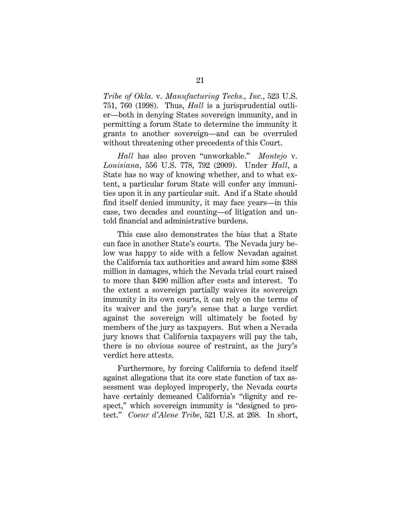*Tribe of Okla.* v. *Manufacturing Techs., Inc.*, 523 U.S. 751, 760 (1998). Thus, *Hall* is a jurisprudential outlier—both in denying States sovereign immunity, and in permitting a forum State to determine the immunity it grants to another sovereign—and can be overruled without threatening other precedents of this Court.

*Hall* has also proven "unworkable." *Montejo* v. *Louisiana*, 556 U.S. 778, 792 (2009). Under *Hall*, a State has no way of knowing whether, and to what extent, a particular forum State will confer any immunities upon it in any particular suit. And if a State should find itself denied immunity, it may face years—in this case, two decades and counting—of litigation and untold financial and administrative burdens.

This case also demonstrates the bias that a State can face in another State's courts. The Nevada jury below was happy to side with a fellow Nevadan against the California tax authorities and award him some \$388 million in damages, which the Nevada trial court raised to more than \$490 million after costs and interest. To the extent a sovereign partially waives its sovereign immunity in its own courts, it can rely on the terms of its waiver and the jury's sense that a large verdict against the sovereign will ultimately be footed by members of the jury as taxpayers. But when a Nevada jury knows that California taxpayers will pay the tab, there is no obvious source of restraint, as the jury's verdict here attests.

Furthermore, by forcing California to defend itself against allegations that its core state function of tax assessment was deployed improperly, the Nevada courts have certainly demeaned California's "dignity and respect," which sovereign immunity is "designed to protect." *Coeur d'Alene Tribe*, 521 U.S. at 268. In short,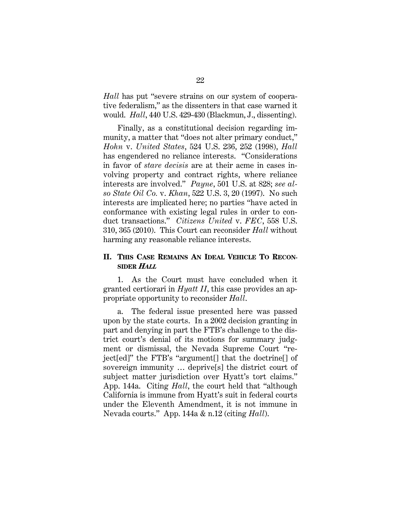*Hall* has put "severe strains on our system of cooperative federalism," as the dissenters in that case warned it would. *Hall*, 440 U.S. 429-430 (Blackmun, J., dissenting).

Finally, as a constitutional decision regarding immunity, a matter that "does not alter primary conduct," *Hohn* v. *United States*, 524 U.S. 236, 252 (1998), *Hall* has engendered no reliance interests. "Considerations in favor of *stare decisis* are at their acme in cases involving property and contract rights, where reliance interests are involved." *Payne*, 501 U.S. at 828; *see also State Oil Co.* v. *Khan*, 522 U.S. 3, 20 (1997). No such interests are implicated here; no parties "have acted in conformance with existing legal rules in order to conduct transactions." *Citizens United* v. *FEC*, 558 U.S. 310, 365 (2010). This Court can reconsider *Hall* without harming any reasonable reliance interests.

#### **II. THIS CASE REMAINS AN IDEAL VEHICLE TO RECON-SIDER HALL**

1. As the Court must have concluded when it granted certiorari in *Hyatt II*, this case provides an appropriate opportunity to reconsider *Hall*.

a. The federal issue presented here was passed upon by the state courts. In a 2002 decision granting in part and denying in part the FTB's challenge to the district court's denial of its motions for summary judgment or dismissal, the Nevada Supreme Court "reject[ed]" the FTB's "argument[] that the doctrine[] of sovereign immunity … deprive[s] the district court of subject matter jurisdiction over Hyatt's tort claims." App. 144a. Citing *Hall*, the court held that "although California is immune from Hyatt's suit in federal courts under the Eleventh Amendment, it is not immune in Nevada courts." App. 144a & n.12 (citing *Hall*).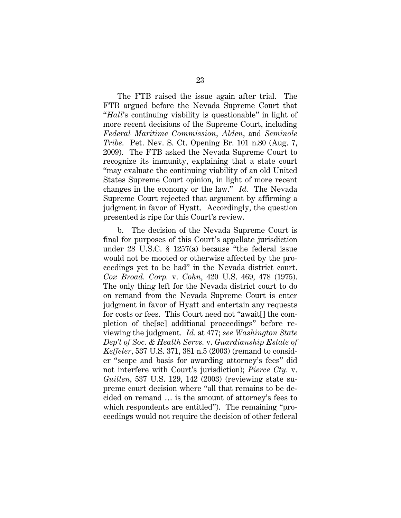The FTB raised the issue again after trial. The FTB argued before the Nevada Supreme Court that "*Hall*'s continuing viability is questionable" in light of more recent decisions of the Supreme Court, including *Federal Maritime Commission*, *Alden*, and *Seminole Tribe*. Pet. Nev. S. Ct. Opening Br. 101 n.80 (Aug. 7, 2009). The FTB asked the Nevada Supreme Court to recognize its immunity, explaining that a state court "may evaluate the continuing viability of an old United States Supreme Court opinion, in light of more recent changes in the economy or the law." *Id.* The Nevada Supreme Court rejected that argument by affirming a judgment in favor of Hyatt. Accordingly, the question presented is ripe for this Court's review.

b. The decision of the Nevada Supreme Court is final for purposes of this Court's appellate jurisdiction under 28 U.S.C. § 1257(a) because "the federal issue would not be mooted or otherwise affected by the proceedings yet to be had" in the Nevada district court. *Cox Broad. Corp.* v. *Cohn*, 420 U.S. 469, 478 (1975). The only thing left for the Nevada district court to do on remand from the Nevada Supreme Court is enter judgment in favor of Hyatt and entertain any requests for costs or fees. This Court need not "await[] the completion of the[se] additional proceedings" before reviewing the judgment. *Id.* at 477; *see Washington State Dep't of Soc. & Health Servs.* v. *Guardianship Estate of Keffeler*, 537 U.S. 371, 381 n.5 (2003) (remand to consider "scope and basis for awarding attorney's fees" did not interfere with Court's jurisdiction); *Pierce Cty.* v. *Guillen*, 537 U.S. 129, 142 (2003) (reviewing state supreme court decision where "all that remains to be decided on remand … is the amount of attorney's fees to which respondents are entitled"). The remaining "proceedings would not require the decision of other federal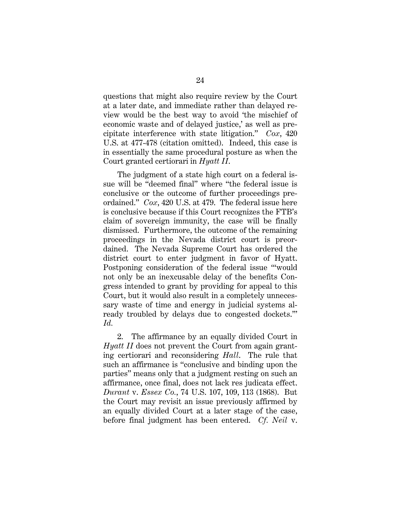questions that might also require review by the Court at a later date, and immediate rather than delayed review would be the best way to avoid 'the mischief of economic waste and of delayed justice,' as well as precipitate interference with state litigation." *Cox*, 420 U.S. at 477-478 (citation omitted). Indeed, this case is in essentially the same procedural posture as when the Court granted certiorari in *Hyatt II*.

The judgment of a state high court on a federal issue will be "deemed final" where "the federal issue is conclusive or the outcome of further proceedings preordained." *Cox*, 420 U.S. at 479. The federal issue here is conclusive because if this Court recognizes the FTB's claim of sovereign immunity, the case will be finally dismissed. Furthermore, the outcome of the remaining proceedings in the Nevada district court is preordained. The Nevada Supreme Court has ordered the district court to enter judgment in favor of Hyatt. Postponing consideration of the federal issue "'would not only be an inexcusable delay of the benefits Congress intended to grant by providing for appeal to this Court, but it would also result in a completely unnecessary waste of time and energy in judicial systems already troubled by delays due to congested dockets.'" *Id.*

2. The affirmance by an equally divided Court in *Hyatt II* does not prevent the Court from again granting certiorari and reconsidering *Hall*. The rule that such an affirmance is "conclusive and binding upon the parties" means only that a judgment resting on such an affirmance, once final, does not lack res judicata effect. *Durant* v. *Essex Co.*, 74 U.S. 107, 109, 113 (1868). But the Court may revisit an issue previously affirmed by an equally divided Court at a later stage of the case, before final judgment has been entered. *Cf. Neil* v.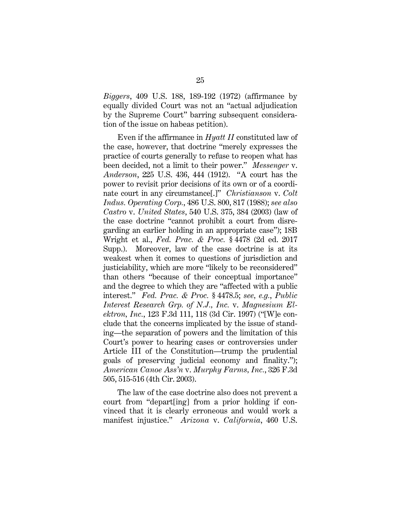*Biggers*, 409 U.S. 188, 189-192 (1972) (affirmance by equally divided Court was not an "actual adjudication by the Supreme Court" barring subsequent consideration of the issue on habeas petition).

Even if the affirmance in *Hyatt II* constituted law of the case, however, that doctrine "merely expresses the practice of courts generally to refuse to reopen what has been decided, not a limit to their power." *Messenger* v. *Anderson*, 225 U.S. 436, 444 (1912). "A court has the power to revisit prior decisions of its own or of a coordinate court in any circumstance[.]" *Christianson* v. *Colt Indus. Operating Corp.*, 486 U.S. 800, 817 (1988); *see also Castro* v. *United States*, 540 U.S. 375, 384 (2003) (law of the case doctrine "cannot prohibit a court from disregarding an earlier holding in an appropriate case"); 18B Wright et al., *Fed. Prac. & Proc.* § 4478 (2d ed. 2017 Supp.). Moreover, law of the case doctrine is at its weakest when it comes to questions of jurisdiction and justiciability, which are more "likely to be reconsidered" than others "because of their conceptual importance" and the degree to which they are "affected with a public interest." *Fed. Prac. & Proc.* § 4478.5; *see, e.g.*, *Public Interest Research Grp. of N.J., Inc.* v. *Magnesium Elektron, Inc.*, 123 F.3d 111, 118 (3d Cir. 1997) ("[W]e conclude that the concerns implicated by the issue of standing—the separation of powers and the limitation of this Court's power to hearing cases or controversies under Article III of the Constitution—trump the prudential goals of preserving judicial economy and finality."); *American Canoe Ass'n* v. *Murphy Farms, Inc.*, 326 F.3d 505, 515-516 (4th Cir. 2003).

The law of the case doctrine also does not prevent a court from "depart[ing] from a prior holding if convinced that it is clearly erroneous and would work a manifest injustice." *Arizona* v. *California*, 460 U.S.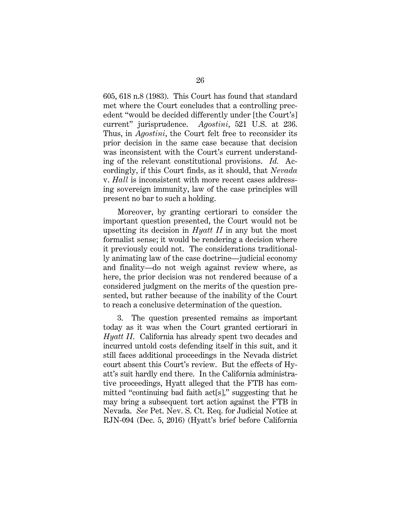605, 618 n.8 (1983). This Court has found that standard met where the Court concludes that a controlling precedent "would be decided differently under [the Court's] current" jurisprudence. *Agostini*, 521 U.S. at 236. Thus, in *Agostini*, the Court felt free to reconsider its prior decision in the same case because that decision was inconsistent with the Court's current understanding of the relevant constitutional provisions. *Id.* Accordingly, if this Court finds, as it should, that *Nevada* v. *Hall* is inconsistent with more recent cases addressing sovereign immunity, law of the case principles will present no bar to such a holding.

Moreover, by granting certiorari to consider the important question presented, the Court would not be upsetting its decision in *Hyatt II* in any but the most formalist sense; it would be rendering a decision where it previously could not. The considerations traditionally animating law of the case doctrine—judicial economy and finality—do not weigh against review where, as here, the prior decision was not rendered because of a considered judgment on the merits of the question presented, but rather because of the inability of the Court to reach a conclusive determination of the question.

3. The question presented remains as important today as it was when the Court granted certiorari in *Hyatt II*. California has already spent two decades and incurred untold costs defending itself in this suit, and it still faces additional proceedings in the Nevada district court absent this Court's review. But the effects of Hyatt's suit hardly end there. In the California administrative proceedings, Hyatt alleged that the FTB has committed "continuing bad faith act[s]," suggesting that he may bring a subsequent tort action against the FTB in Nevada. *See* Pet. Nev. S. Ct. Req. for Judicial Notice at RJN-094 (Dec. 5, 2016) (Hyatt's brief before California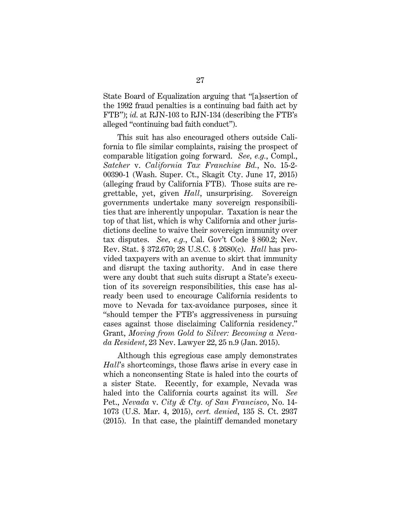State Board of Equalization arguing that "[a]ssertion of the 1992 fraud penalties is a continuing bad faith act by FTB"); *id.* at RJN-103 to RJN-134 (describing the FTB's alleged "continuing bad faith conduct").

This suit has also encouraged others outside California to file similar complaints, raising the prospect of comparable litigation going forward. *See, e.g.*, Compl., *Satcher* v. *California Tax Franchise Bd.*, No. 15-2- 00390-1 (Wash. Super. Ct., Skagit Cty. June 17, 2015) (alleging fraud by California FTB). Those suits are regrettable, yet, given *Hall*, unsurprising. Sovereign governments undertake many sovereign responsibilities that are inherently unpopular. Taxation is near the top of that list, which is why California and other jurisdictions decline to waive their sovereign immunity over tax disputes. *See, e.g.*, Cal. Gov't Code § 860.2; Nev. Rev. Stat. § 372.670; 28 U.S.C. § 2680(c). *Hall* has provided taxpayers with an avenue to skirt that immunity and disrupt the taxing authority. And in case there were any doubt that such suits disrupt a State's execution of its sovereign responsibilities, this case has already been used to encourage California residents to move to Nevada for tax-avoidance purposes, since it "should temper the FTB's aggressiveness in pursuing cases against those disclaiming California residency." Grant, *Moving from Gold to Silver: Becoming a Nevada Resident*, 23 Nev. Lawyer 22, 25 n.9 (Jan. 2015).

Although this egregious case amply demonstrates *Hall*'s shortcomings, those flaws arise in every case in which a nonconsenting State is haled into the courts of a sister State. Recently, for example, Nevada was haled into the California courts against its will. *See*  Pet., *Nevada* v. *City & Cty. of San Francisco*, No. 14- 1073 (U.S. Mar. 4, 2015), *cert. denied*, 135 S. Ct. 2937 (2015). In that case, the plaintiff demanded monetary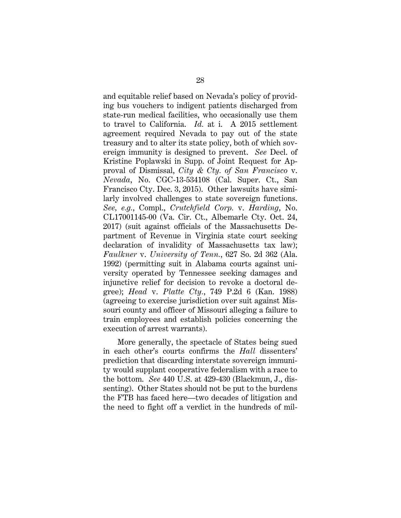and equitable relief based on Nevada's policy of providing bus vouchers to indigent patients discharged from state-run medical facilities, who occasionally use them to travel to California. *Id.* at i. A 2015 settlement agreement required Nevada to pay out of the state treasury and to alter its state policy, both of which sovereign immunity is designed to prevent. *See* Decl. of Kristine Poplawski in Supp. of Joint Request for Approval of Dismissal, *City & Cty. of San Francisco* v. *Nevada*, No. CGC-13-534108 (Cal. Super. Ct., San Francisco Cty. Dec. 3, 2015). Other lawsuits have similarly involved challenges to state sovereign functions. *See, e.g.*, Compl., *Crutchfield Corp.* v. *Harding*, No. CL17001145-00 (Va. Cir. Ct., Albemarle Cty. Oct. 24, 2017) (suit against officials of the Massachusetts Department of Revenue in Virginia state court seeking declaration of invalidity of Massachusetts tax law); *Faulkner* v. *University of Tenn.*, 627 So. 2d 362 (Ala. 1992) (permitting suit in Alabama courts against university operated by Tennessee seeking damages and injunctive relief for decision to revoke a doctoral degree); *Head* v. *Platte Cty.*, 749 P.2d 6 (Kan. 1988) (agreeing to exercise jurisdiction over suit against Missouri county and officer of Missouri alleging a failure to train employees and establish policies concerning the execution of arrest warrants).

More generally, the spectacle of States being sued in each other's courts confirms the *Hall* dissenters' prediction that discarding interstate sovereign immunity would supplant cooperative federalism with a race to the bottom. *See* 440 U.S. at 429-430 (Blackmun, J., dissenting). Other States should not be put to the burdens the FTB has faced here—two decades of litigation and the need to fight off a verdict in the hundreds of mil